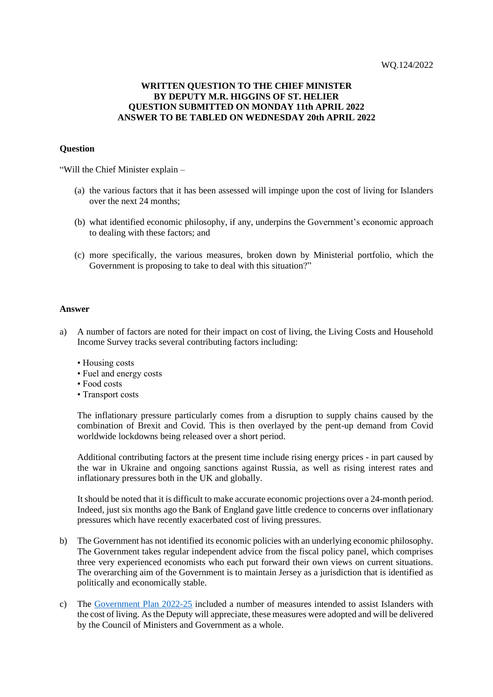## **WRITTEN QUESTION TO THE CHIEF MINISTER BY DEPUTY M.R. HIGGINS OF ST. HELIER QUESTION SUBMITTED ON MONDAY 11th APRIL 2022 ANSWER TO BE TABLED ON WEDNESDAY 20th APRIL 2022**

## **Question**

"Will the Chief Minister explain –

- (a) the various factors that it has been assessed will impinge upon the cost of living for Islanders over the next 24 months;
- (b) what identified economic philosophy, if any, underpins the Government's economic approach to dealing with these factors; and
- (c) more specifically, the various measures, broken down by Ministerial portfolio, which the Government is proposing to take to deal with this situation?"

## **Answer**

- a) A number of factors are noted for their impact on cost of living, the Living Costs and Household Income Survey tracks several contributing factors including:
	- Housing costs
	- Fuel and energy costs
	- Food costs
	- Transport costs

The inflationary pressure particularly comes from a disruption to supply chains caused by the combination of Brexit and Covid. This is then overlayed by the pent-up demand from Covid worldwide lockdowns being released over a short period.

Additional contributing factors at the present time include rising energy prices - in part caused by the war in Ukraine and ongoing sanctions against Russia, as well as rising interest rates and inflationary pressures both in the UK and globally.

It should be noted that it is difficult to make accurate economic projections over a 24-month period. Indeed, just six months ago the Bank of England gave little credence to concerns over inflationary pressures which have recently exacerbated cost of living pressures.

- b) The Government has not identified its economic policies with an underlying economic philosophy. The Government takes regular independent advice from the fiscal policy panel, which comprises three very experienced economists who each put forward their own views on current situations. The overarching aim of the Government is to maintain Jersey as a jurisdiction that is identified as politically and economically stable.
- c) The [Government Plan 2022-25](https://www.gov.je/SiteCollectionDocuments/Government%20and%20administration/ID%20Government%20Plan%202022%20to%202025.pdf) included a number of measures intended to assist Islanders with the cost of living. As the Deputy will appreciate, these measures were adopted and will be delivered by the Council of Ministers and Government as a whole.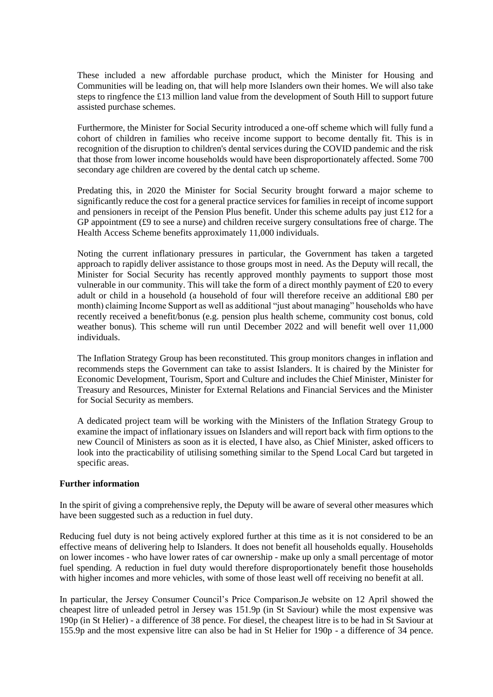These included a new affordable purchase product, which the Minister for Housing and Communities will be leading on, that will help more Islanders own their homes. We will also take steps to ringfence the £13 million land value from the development of South Hill to support future assisted purchase schemes.

Furthermore, the Minister for Social Security introduced a one-off scheme which will fully fund a cohort of children in families who receive income support to become dentally fit. This is in recognition of the disruption to children's dental services during the COVID pandemic and the risk that those from lower income households would have been disproportionately affected. Some 700 secondary age children are covered by the dental catch up scheme.

Predating this, in 2020 the Minister for Social Security brought forward a major scheme to significantly reduce the cost for a general practice services for families in receipt of income support and pensioners in receipt of the Pension Plus benefit. Under this scheme adults pay just £12 for a GP appointment (£9 to see a nurse) and children receive surgery consultations free of charge. The Health Access Scheme benefits approximately 11,000 individuals.

Noting the current inflationary pressures in particular, the Government has taken a targeted approach to rapidly deliver assistance to those groups most in need. As the Deputy will recall, the Minister for Social Security has recently approved monthly payments to support those most vulnerable in our community. This will take the form of a direct monthly payment of £20 to every adult or child in a household (a household of four will therefore receive an additional £80 per month) claiming Income Support as well as additional "just about managing" households who have recently received a benefit/bonus (e.g. pension plus health scheme, community cost bonus, cold weather bonus). This scheme will run until December 2022 and will benefit well over 11,000 individuals.

The Inflation Strategy Group has been reconstituted. This group monitors changes in inflation and recommends steps the Government can take to assist Islanders. It is chaired by the Minister for Economic Development, Tourism, Sport and Culture and includes the Chief Minister, Minister for Treasury and Resources, Minister for External Relations and Financial Services and the Minister for Social Security as members.

A dedicated project team will be working with the Ministers of the Inflation Strategy Group to examine the impact of inflationary issues on Islanders and will report back with firm options to the new Council of Ministers as soon as it is elected, I have also, as Chief Minister, asked officers to look into the practicability of utilising something similar to the Spend Local Card but targeted in specific areas.

## **Further information**

In the spirit of giving a comprehensive reply, the Deputy will be aware of several other measures which have been suggested such as a reduction in fuel duty.

Reducing fuel duty is not being actively explored further at this time as it is not considered to be an effective means of delivering help to Islanders. It does not benefit all households equally. Households on lower incomes - who have lower rates of car ownership - make up only a small percentage of motor fuel spending. A reduction in fuel duty would therefore disproportionately benefit those households with higher incomes and more vehicles, with some of those least well off receiving no benefit at all.

In particular, the Jersey Consumer Council's Price Comparison.Je website on 12 April showed the cheapest litre of unleaded petrol in Jersey was 151.9p (in St Saviour) while the most expensive was 190p (in St Helier) - a difference of 38 pence. For diesel, the cheapest litre is to be had in St Saviour at 155.9p and the most expensive litre can also be had in St Helier for 190p - a difference of 34 pence.